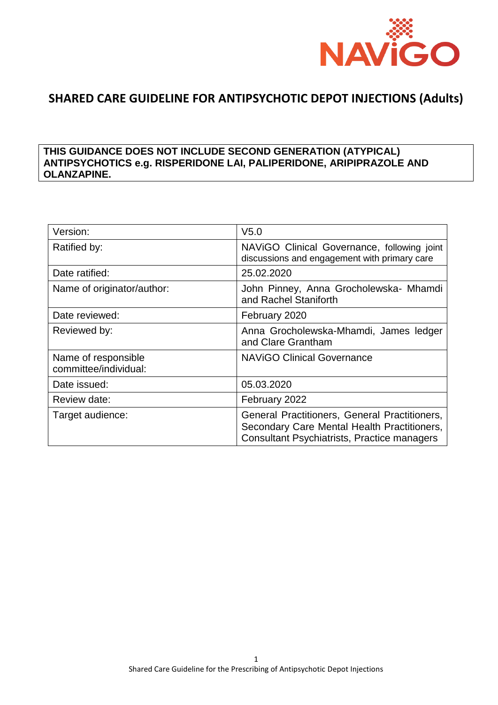

# **SHARED CARE GUIDELINE FOR ANTIPSYCHOTIC DEPOT INJECTIONS (Adults)**

### **THIS GUIDANCE DOES NOT INCLUDE SECOND GENERATION (ATYPICAL) ANTIPSYCHOTICS e.g. RISPERIDONE LAI, PALIPERIDONE, ARIPIPRAZOLE AND OLANZAPINE.**

| Version:                                     | V <sub>5.0</sub>                                                                                                                                   |
|----------------------------------------------|----------------------------------------------------------------------------------------------------------------------------------------------------|
| Ratified by:                                 | NAVIGO Clinical Governance, following joint<br>discussions and engagement with primary care                                                        |
| Date ratified:                               | 25.02.2020                                                                                                                                         |
| Name of originator/author:                   | John Pinney, Anna Grocholewska- Mhamdi<br>and Rachel Staniforth                                                                                    |
| Date reviewed:                               | February 2020                                                                                                                                      |
| Reviewed by:                                 | Anna Grocholewska-Mhamdi, James ledger<br>and Clare Grantham                                                                                       |
| Name of responsible<br>committee/individual: | <b>NAVIGO Clinical Governance</b>                                                                                                                  |
| Date issued:                                 | 05.03.2020                                                                                                                                         |
| Review date:                                 | February 2022                                                                                                                                      |
| Target audience:                             | General Practitioners, General Practitioners,<br>Secondary Care Mental Health Practitioners,<br><b>Consultant Psychiatrists, Practice managers</b> |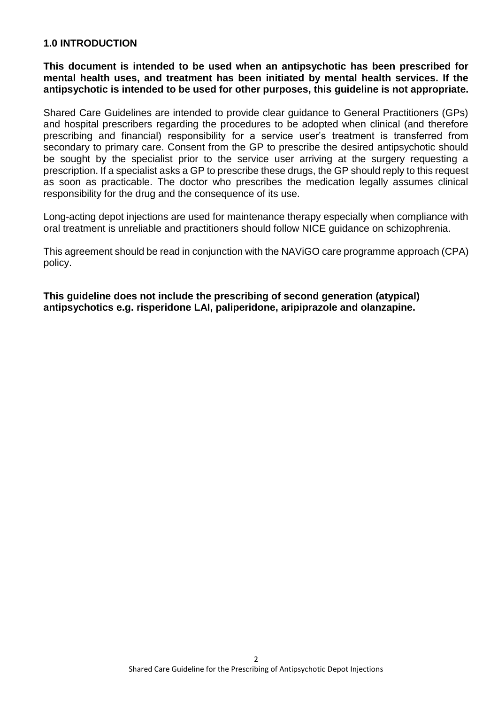### **1.0 INTRODUCTION**

**This document is intended to be used when an antipsychotic has been prescribed for mental health uses, and treatment has been initiated by mental health services. If the antipsychotic is intended to be used for other purposes, this guideline is not appropriate.**

Shared Care Guidelines are intended to provide clear guidance to General Practitioners (GPs) and hospital prescribers regarding the procedures to be adopted when clinical (and therefore prescribing and financial) responsibility for a service user's treatment is transferred from secondary to primary care. Consent from the GP to prescribe the desired antipsychotic should be sought by the specialist prior to the service user arriving at the surgery requesting a prescription. If a specialist asks a GP to prescribe these drugs, the GP should reply to this request as soon as practicable. The doctor who prescribes the medication legally assumes clinical responsibility for the drug and the consequence of its use.

Long-acting depot injections are used for maintenance therapy especially when compliance with oral treatment is unreliable and practitioners should follow NICE guidance on schizophrenia.

This agreement should be read in conjunction with the NAViGO care programme approach (CPA) policy.

**This guideline does not include the prescribing of second generation (atypical) antipsychotics e.g. risperidone LAI, paliperidone, aripiprazole and olanzapine.**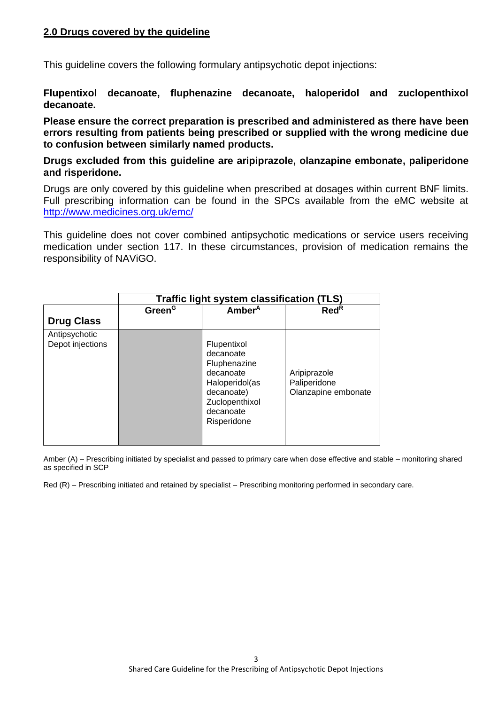### **2.0 Drugs covered by the guideline**

This guideline covers the following formulary antipsychotic depot injections:

**Flupentixol decanoate, fluphenazine decanoate, haloperidol and zuclopenthixol decanoate.** 

**Please ensure the correct preparation is prescribed and administered as there have been errors resulting from patients being prescribed or supplied with the wrong medicine due to confusion between similarly named products.**

### **Drugs excluded from this guideline are aripiprazole, olanzapine embonate, paliperidone and risperidone.**

Drugs are only covered by this guideline when prescribed at dosages within current BNF limits. Full prescribing information can be found in the SPCs available from the eMC website at <http://www.medicines.org.uk/emc/>

This guideline does not cover combined antipsychotic medications or service users receiving medication under section 117. In these circumstances, provision of medication remains the responsibility of NAViGO.

|                                   | Traffic light system classification (TLS) |                                                                                                                                     |                                                     |  |  |
|-----------------------------------|-------------------------------------------|-------------------------------------------------------------------------------------------------------------------------------------|-----------------------------------------------------|--|--|
|                                   | Green <sup>G</sup>                        | Amber <sup>A</sup>                                                                                                                  | $\text{Red}^{\text{R}}$                             |  |  |
| <b>Drug Class</b>                 |                                           |                                                                                                                                     |                                                     |  |  |
| Antipsychotic<br>Depot injections |                                           | Flupentixol<br>decanoate<br>Fluphenazine<br>decanoate<br>Haloperidol(as<br>decanoate)<br>Zuclopenthixol<br>decanoate<br>Risperidone | Aripiprazole<br>Paliperidone<br>Olanzapine embonate |  |  |

Amber (A) – Prescribing initiated by specialist and passed to primary care when dose effective and stable – monitoring shared as specified in SCP

Red (R) – Prescribing initiated and retained by specialist – Prescribing monitoring performed in secondary care.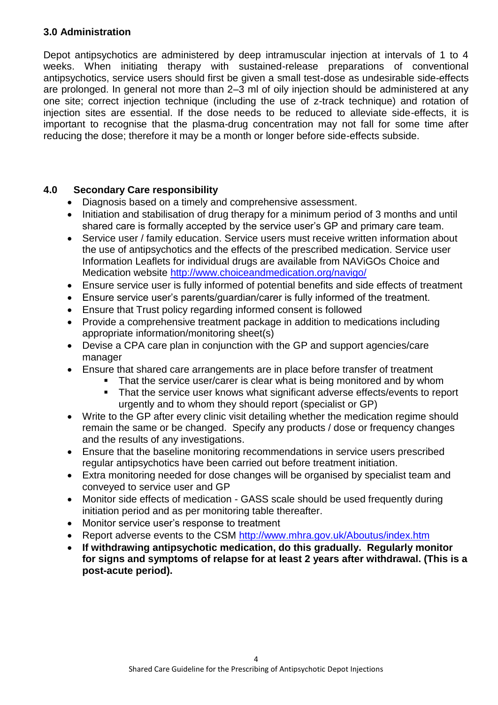## **3.0 Administration**

Depot antipsychotics are administered by deep intramuscular injection at intervals of 1 to 4 weeks. When initiating therapy with sustained-release preparations of conventional antipsychotics, service users should first be given a small test-dose as undesirable side-effects are prolonged. In general not more than 2–3 ml of oily injection should be administered at any one site; correct injection technique (including the use of z-track technique) and rotation of injection sites are essential. If the dose needs to be reduced to alleviate side-effects, it is important to recognise that the plasma-drug concentration may not fall for some time after reducing the dose; therefore it may be a month or longer before side-effects subside.

### **4.0 Secondary Care responsibility**

- Diagnosis based on a timely and comprehensive assessment.
- Initiation and stabilisation of drug therapy for a minimum period of 3 months and until shared care is formally accepted by the service user's GP and primary care team.
- Service user / family education. Service users must receive written information about the use of antipsychotics and the effects of the prescribed medication. Service user Information Leaflets for individual drugs are available from NAViGOs Choice and Medication website<http://www.choiceandmedication.org/navigo/>
- Ensure service user is fully informed of potential benefits and side effects of treatment
- Ensure service user's parents/guardian/carer is fully informed of the treatment.
- Ensure that Trust policy regarding informed consent is followed
- Provide a comprehensive treatment package in addition to medications including appropriate information/monitoring sheet(s)
- Devise a CPA care plan in conjunction with the GP and support agencies/care manager
- Ensure that shared care arrangements are in place before transfer of treatment
	- **That the service user/carer is clear what is being monitored and by whom**
	- That the service user knows what significant adverse effects/events to report urgently and to whom they should report (specialist or GP)
- Write to the GP after every clinic visit detailing whether the medication regime should remain the same or be changed. Specify any products / dose or frequency changes and the results of any investigations.
- Ensure that the baseline monitoring recommendations in service users prescribed regular antipsychotics have been carried out before treatment initiation.
- Extra monitoring needed for dose changes will be organised by specialist team and conveyed to service user and GP
- Monitor side effects of medication GASS scale should be used frequently during initiation period and as per monitoring table thereafter.
- Monitor service user's response to treatment
- Report adverse events to the CSM<http://www.mhra.gov.uk/Aboutus/index.htm>
- **If withdrawing antipsychotic medication, do this gradually. Regularly monitor for signs and symptoms of relapse for at least 2 years after withdrawal. (This is a post-acute period).**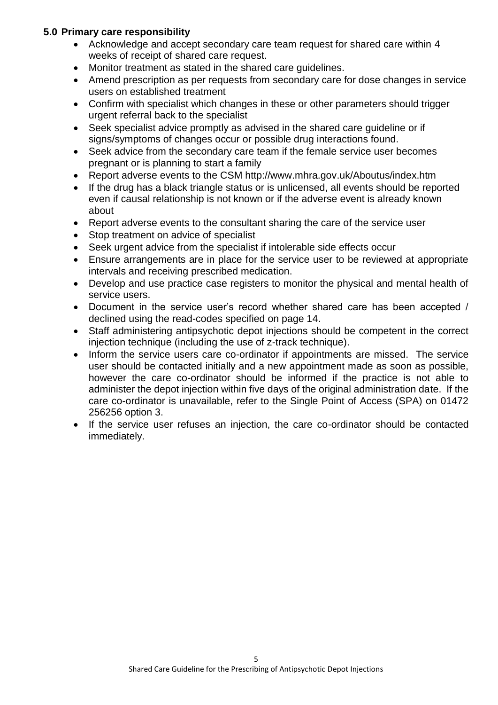### **5.0 Primary care responsibility**

- Acknowledge and accept secondary care team request for shared care within 4 weeks of receipt of shared care request.
- Monitor treatment as stated in the shared care guidelines.
- Amend prescription as per requests from secondary care for dose changes in service users on established treatment
- Confirm with specialist which changes in these or other parameters should trigger urgent referral back to the specialist
- Seek specialist advice promptly as advised in the shared care guideline or if signs/symptoms of changes occur or possible drug interactions found.
- Seek advice from the secondary care team if the female service user becomes pregnant or is planning to start a family
- Report adverse events to the CSM http://www.mhra.gov.uk/Aboutus/index.htm
- If the drug has a black triangle status or is unlicensed, all events should be reported even if causal relationship is not known or if the adverse event is already known about
- Report adverse events to the consultant sharing the care of the service user
- Stop treatment on advice of specialist
- Seek urgent advice from the specialist if intolerable side effects occur
- Ensure arrangements are in place for the service user to be reviewed at appropriate intervals and receiving prescribed medication.
- Develop and use practice case registers to monitor the physical and mental health of service users.
- Document in the service user's record whether shared care has been accepted / declined using the read-codes specified on page 14.
- Staff administering antipsychotic depot injections should be competent in the correct injection technique (including the use of z-track technique).
- Inform the service users care co-ordinator if appointments are missed. The service user should be contacted initially and a new appointment made as soon as possible, however the care co-ordinator should be informed if the practice is not able to administer the depot injection within five days of the original administration date. If the care co-ordinator is unavailable, refer to the Single Point of Access (SPA) on 01472 256256 option 3.
- If the service user refuses an injection, the care co-ordinator should be contacted immediately.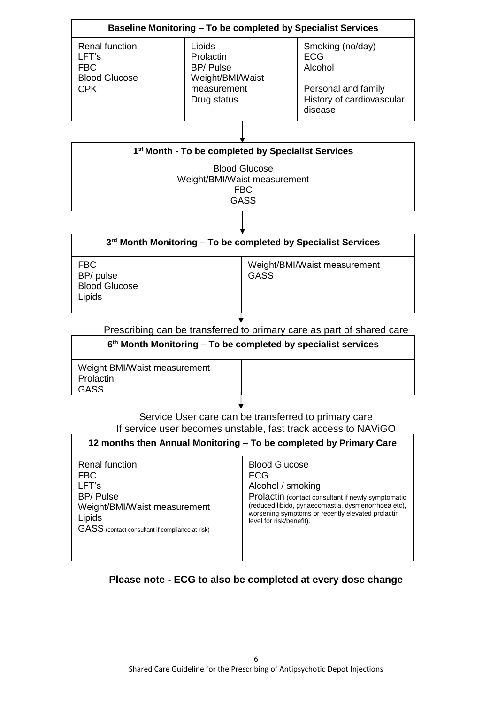|                                                                             | Baseline Monitoring – To be completed by Specialist Services              |                                                                  |
|-----------------------------------------------------------------------------|---------------------------------------------------------------------------|------------------------------------------------------------------|
| Renal function<br>LFT's<br><b>FBC</b><br><b>Blood Glucose</b><br><b>CPK</b> | Lipids<br>Prolactin<br><b>BP/Pulse</b><br>Weight/BMI/Waist<br>measurement | Smoking (no/day)<br><b>ECG</b><br>Alcohol<br>Personal and family |
|                                                                             | Drug status                                                               | History of cardiovascular<br>disease                             |

| 1 <sup>st</sup> Month - To be completed by Specialist Services     |
|--------------------------------------------------------------------|
| <b>Blood Glucose</b><br>Weight/BMI/Waist measurement<br><b>FBC</b> |
| <b>GASS</b>                                                        |

| $3rd$ Month Monitoring – To be completed by Specialist Services |                                             |  |
|-----------------------------------------------------------------|---------------------------------------------|--|
| <b>FBC</b><br>BP/ pulse<br><b>Blood Glucose</b><br>Lipids       | Weight/BMI/Waist measurement<br><b>GASS</b> |  |

Prescribing can be transferred to primary care as part of shared care

| $6th$ Month Monitoring – To be completed by specialist services |  |  |
|-----------------------------------------------------------------|--|--|
| Weight BMI/Waist measurement<br>Prolactin<br><b>GASS</b>        |  |  |
|                                                                 |  |  |

Service User care can be transferred to primary care If service user becomes unstable, fast track access to NAViGO

|                                                 | 12 months then Annual Monitoring - To be completed by Primary Care |
|-------------------------------------------------|--------------------------------------------------------------------|
| <b>Renal function</b>                           | <b>Blood Glucose</b>                                               |
| <b>FBC</b>                                      | <b>ECG</b>                                                         |
| LFT's                                           | Alcohol / smoking                                                  |
| <b>BP/Pulse</b>                                 | Prolactin (contact consultant if newly symptomatic                 |
| Weight/BMI/Waist measurement                    | (reduced libido, gynaecomastia, dysmenorrhoea etc),                |
| Lipids                                          | worsening symptoms or recently elevated prolactin                  |
| GASS (contact consultant if compliance at risk) | level for risk/benefit).                                           |

# **Please note - ECG to also be completed at every dose change**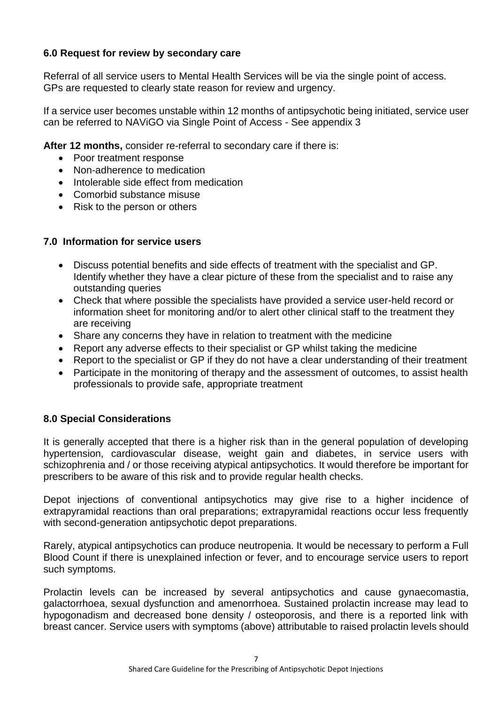# **6.0 Request for review by secondary care**

Referral of all service users to Mental Health Services will be via the single point of access. GPs are requested to clearly state reason for review and urgency.

If a service user becomes unstable within 12 months of antipsychotic being initiated, service user can be referred to NAViGO via Single Point of Access - See appendix 3

**After 12 months,** consider re-referral to secondary care if there is:

- Poor treatment response
- Non-adherence to medication
- Intolerable side effect from medication
- Comorbid substance misuse
- Risk to the person or others

### **7.0 Information for service users**

- Discuss potential benefits and side effects of treatment with the specialist and GP. Identify whether they have a clear picture of these from the specialist and to raise any outstanding queries
- Check that where possible the specialists have provided a service user-held record or information sheet for monitoring and/or to alert other clinical staff to the treatment they are receiving
- Share any concerns they have in relation to treatment with the medicine
- Report any adverse effects to their specialist or GP whilst taking the medicine
- Report to the specialist or GP if they do not have a clear understanding of their treatment
- Participate in the monitoring of therapy and the assessment of outcomes, to assist health professionals to provide safe, appropriate treatment

## **8.0 Special Considerations**

It is generally accepted that there is a higher risk than in the general population of developing hypertension, cardiovascular disease, weight gain and diabetes, in service users with schizophrenia and / or those receiving atypical antipsychotics. It would therefore be important for prescribers to be aware of this risk and to provide regular health checks.

Depot injections of conventional antipsychotics may give rise to a higher incidence of extrapyramidal reactions than oral preparations; extrapyramidal reactions occur less frequently with second-generation antipsychotic depot preparations.

Rarely, atypical antipsychotics can produce neutropenia. It would be necessary to perform a Full Blood Count if there is unexplained infection or fever, and to encourage service users to report such symptoms.

Prolactin levels can be increased by several antipsychotics and cause gynaecomastia, galactorrhoea, sexual dysfunction and amenorrhoea. Sustained prolactin increase may lead to hypogonadism and decreased bone density / osteoporosis, and there is a reported link with breast cancer. Service users with symptoms (above) attributable to raised prolactin levels should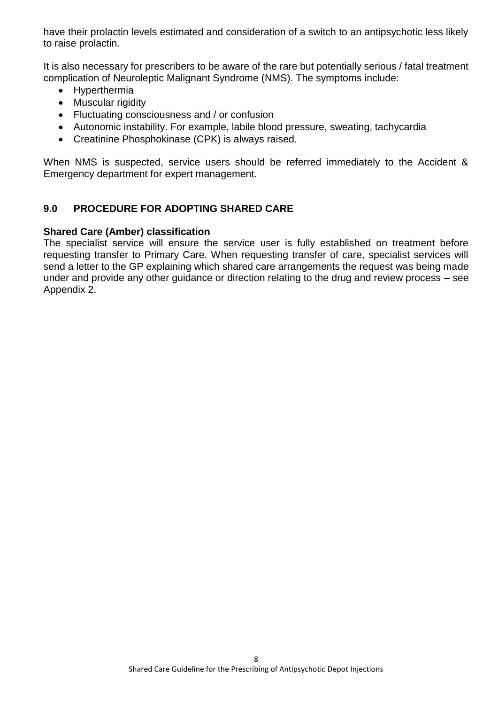have their prolactin levels estimated and consideration of a switch to an antipsychotic less likely to raise prolactin.

It is also necessary for prescribers to be aware of the rare but potentially serious / fatal treatment complication of Neuroleptic Malignant Syndrome (NMS). The symptoms include:

- Hyperthermia
- Muscular rigidity
- Fluctuating consciousness and / or confusion
- Autonomic instability. For example, labile blood pressure, sweating, tachycardia
- Creatinine Phosphokinase (CPK) is always raised.

When NMS is suspected, service users should be referred immediately to the Accident & Emergency department for expert management.

### **9.0 PROCEDURE FOR ADOPTING SHARED CARE**

### **Shared Care (Amber) classification**

The specialist service will ensure the service user is fully established on treatment before requesting transfer to Primary Care. When requesting transfer of care, specialist services will send a letter to the GP explaining which shared care arrangements the request was being made under and provide any other guidance or direction relating to the drug and review process – see Appendix 2.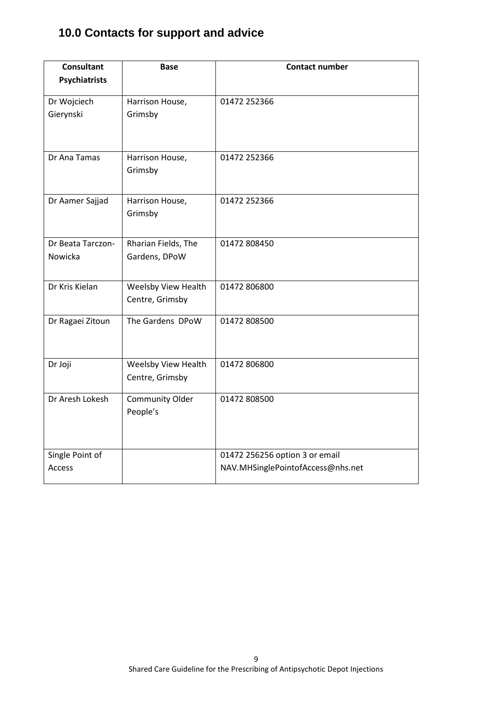# **10.0 Contacts for support and advice**

| <b>Psychiatrists</b><br>Dr Wojciech<br>01472 252366<br>Harrison House,<br>Gierynski<br>Grimsby<br>Dr Ana Tamas<br>01472 252366<br>Harrison House,<br>Grimsby<br>01472 252366<br>Dr Aamer Sajjad<br>Harrison House,<br>Grimsby<br>Dr Beata Tarczon-<br>Rharian Fields, The<br>01472 808450<br>Nowicka<br>Gardens, DPoW<br>Dr Kris Kielan<br>Weelsby View Health<br>01472 806800<br>Centre, Grimsby<br>The Gardens DPoW<br>Dr Ragaei Zitoun<br>01472 808500<br>Dr Joji<br>Weelsby View Health<br>01472 806800<br>Centre, Grimsby<br>Dr Aresh Lokesh<br><b>Community Older</b><br>01472 808500<br>People's | <b>Consultant</b> | <b>Base</b> | <b>Contact number</b>          |
|---------------------------------------------------------------------------------------------------------------------------------------------------------------------------------------------------------------------------------------------------------------------------------------------------------------------------------------------------------------------------------------------------------------------------------------------------------------------------------------------------------------------------------------------------------------------------------------------------------|-------------------|-------------|--------------------------------|
|                                                                                                                                                                                                                                                                                                                                                                                                                                                                                                                                                                                                         |                   |             |                                |
|                                                                                                                                                                                                                                                                                                                                                                                                                                                                                                                                                                                                         |                   |             |                                |
|                                                                                                                                                                                                                                                                                                                                                                                                                                                                                                                                                                                                         |                   |             |                                |
|                                                                                                                                                                                                                                                                                                                                                                                                                                                                                                                                                                                                         |                   |             |                                |
|                                                                                                                                                                                                                                                                                                                                                                                                                                                                                                                                                                                                         |                   |             |                                |
|                                                                                                                                                                                                                                                                                                                                                                                                                                                                                                                                                                                                         |                   |             |                                |
|                                                                                                                                                                                                                                                                                                                                                                                                                                                                                                                                                                                                         |                   |             |                                |
|                                                                                                                                                                                                                                                                                                                                                                                                                                                                                                                                                                                                         |                   |             |                                |
|                                                                                                                                                                                                                                                                                                                                                                                                                                                                                                                                                                                                         |                   |             |                                |
|                                                                                                                                                                                                                                                                                                                                                                                                                                                                                                                                                                                                         |                   |             |                                |
|                                                                                                                                                                                                                                                                                                                                                                                                                                                                                                                                                                                                         |                   |             |                                |
|                                                                                                                                                                                                                                                                                                                                                                                                                                                                                                                                                                                                         |                   |             |                                |
|                                                                                                                                                                                                                                                                                                                                                                                                                                                                                                                                                                                                         |                   |             |                                |
|                                                                                                                                                                                                                                                                                                                                                                                                                                                                                                                                                                                                         |                   |             |                                |
|                                                                                                                                                                                                                                                                                                                                                                                                                                                                                                                                                                                                         |                   |             |                                |
|                                                                                                                                                                                                                                                                                                                                                                                                                                                                                                                                                                                                         |                   |             |                                |
|                                                                                                                                                                                                                                                                                                                                                                                                                                                                                                                                                                                                         |                   |             |                                |
|                                                                                                                                                                                                                                                                                                                                                                                                                                                                                                                                                                                                         |                   |             |                                |
|                                                                                                                                                                                                                                                                                                                                                                                                                                                                                                                                                                                                         |                   |             |                                |
|                                                                                                                                                                                                                                                                                                                                                                                                                                                                                                                                                                                                         |                   |             |                                |
|                                                                                                                                                                                                                                                                                                                                                                                                                                                                                                                                                                                                         |                   |             |                                |
|                                                                                                                                                                                                                                                                                                                                                                                                                                                                                                                                                                                                         |                   |             |                                |
|                                                                                                                                                                                                                                                                                                                                                                                                                                                                                                                                                                                                         | Single Point of   |             | 01472 256256 option 3 or email |
| NAV.MHSinglePointofAccess@nhs.net<br>Access                                                                                                                                                                                                                                                                                                                                                                                                                                                                                                                                                             |                   |             |                                |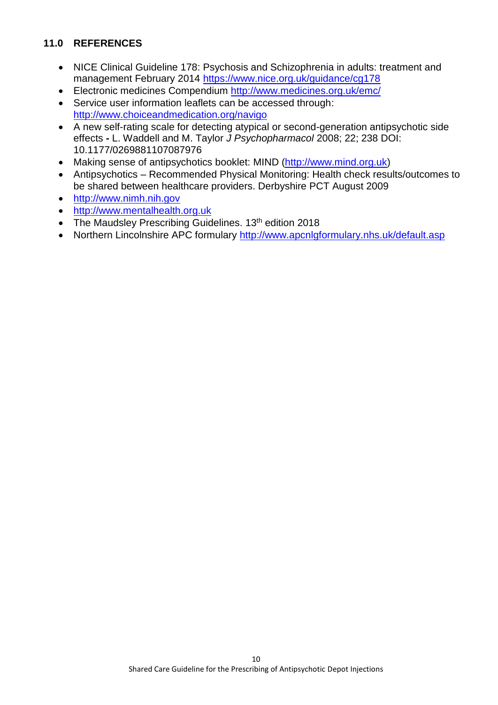## **11.0 REFERENCES**

- NICE Clinical Guideline 178: Psychosis and Schizophrenia in adults: treatment and management February 2014<https://www.nice.org.uk/guidance/cg178>
- Electronic medicines Compendium<http://www.medicines.org.uk/emc/>
- Service user information leaflets can be accessed through: <http://www.choiceandmedication.org/navigo>
- A new self-rating scale for detecting atypical or second-generation antipsychotic side effects **-** L. Waddell and M. Taylor *J Psychopharmacol* 2008; 22; 238 DOI: 10.1177/0269881107087976
- Making sense of antipsychotics booklet: MIND [\(http://www.mind.org.uk\)](http://www.mind.org.uk/)
- Antipsychotics Recommended Physical Monitoring: Health check results/outcomes to be shared between healthcare providers. Derbyshire PCT August 2009
- [http://www.nimh.nih.gov](http://www.nimh.nih.gov/)
- [http://www.mentalhealth.org.uk](http://www.mentalhealth.org.uk/)
- The Maudsley Prescribing Guidelines. 13<sup>th</sup> edition 2018
- Northern Lincolnshire APC formulary<http://www.apcnlgformulary.nhs.uk/default.asp>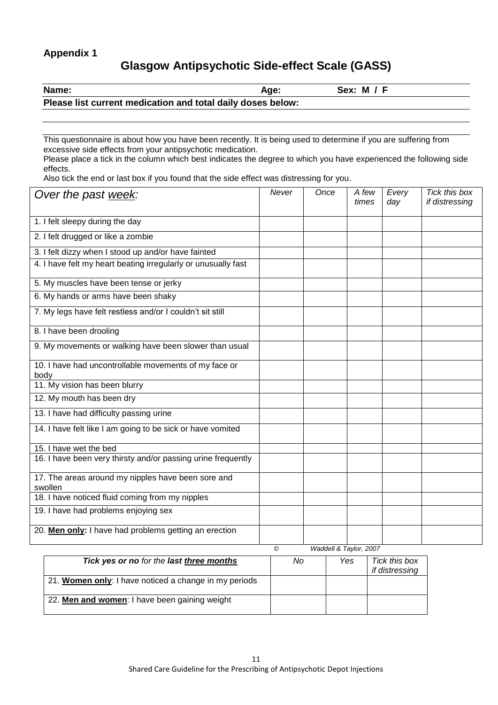### **Appendix 1**

# **Glasgow Antipsychotic Side-effect Scale (GASS)**

| <b>Name:</b>                                                | Age: | Sex: M / F |  |
|-------------------------------------------------------------|------|------------|--|
| Please list current medication and total daily doses below: |      |            |  |

This questionnaire is about how you have been recently. It is being used to determine if you are suffering from excessive side effects from your antipsychotic medication.

Please place a tick in the column which best indicates the degree to which you have experienced the following side effects.

Also tick the end or last box if you found that the side effect was distressing for you.

| Over the past week:                                           | Never | Once | A few<br>times | Every<br>day | Tick this box<br>if distressing |
|---------------------------------------------------------------|-------|------|----------------|--------------|---------------------------------|
| 1. I felt sleepy during the day                               |       |      |                |              |                                 |
| 2. I felt drugged or like a zombie                            |       |      |                |              |                                 |
| 3. I felt dizzy when I stood up and/or have fainted           |       |      |                |              |                                 |
| 4. I have felt my heart beating irregularly or unusually fast |       |      |                |              |                                 |
| 5. My muscles have been tense or jerky                        |       |      |                |              |                                 |
| 6. My hands or arms have been shaky                           |       |      |                |              |                                 |
| 7. My legs have felt restless and/or I couldn't sit still     |       |      |                |              |                                 |
| 8. I have been drooling                                       |       |      |                |              |                                 |
| 9. My movements or walking have been slower than usual        |       |      |                |              |                                 |
| 10. I have had uncontrollable movements of my face or<br>body |       |      |                |              |                                 |
| 11. My vision has been blurry                                 |       |      |                |              |                                 |
| 12. My mouth has been dry                                     |       |      |                |              |                                 |
| 13. I have had difficulty passing urine                       |       |      |                |              |                                 |
| 14. I have felt like I am going to be sick or have vomited    |       |      |                |              |                                 |
| 15. I have wet the bed                                        |       |      |                |              |                                 |
| 16. I have been very thirsty and/or passing urine frequently  |       |      |                |              |                                 |
| 17. The areas around my nipples have been sore and<br>swollen |       |      |                |              |                                 |
| 18. I have noticed fluid coming from my nipples               |       |      |                |              |                                 |
| 19. I have had problems enjoying sex                          |       |      |                |              |                                 |
| 20. Men only: I have had problems getting an erection         |       |      |                |              |                                 |

| Tick yes or no for the last three months              | No | Yes | Tick this box<br>if distressing |
|-------------------------------------------------------|----|-----|---------------------------------|
| 21. Women only: I have noticed a change in my periods |    |     |                                 |
| 22. Men and women: I have been gaining weight         |    |     |                                 |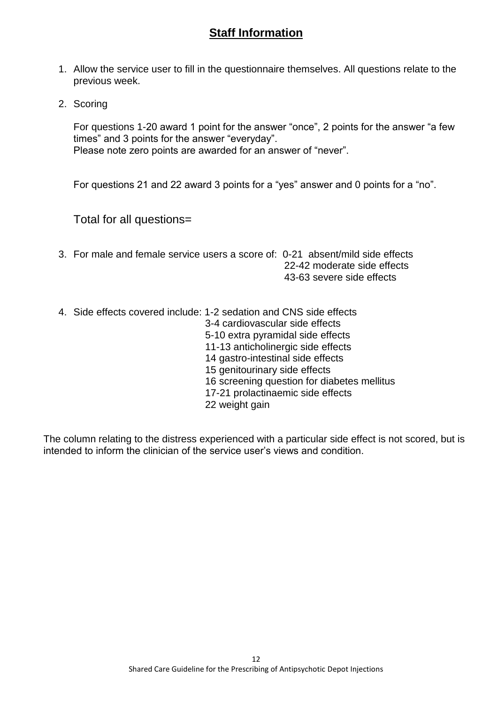# **Staff Information**

- 1. Allow the service user to fill in the questionnaire themselves. All questions relate to the previous week.
- 2. Scoring

For questions 1-20 award 1 point for the answer "once", 2 points for the answer "a few times" and 3 points for the answer "everyday". Please note zero points are awarded for an answer of "never".

For questions 21 and 22 award 3 points for a "yes" answer and 0 points for a "no".

### Total for all questions=

- 3. For male and female service users a score of: 0-21 absent/mild side effects 22-42 moderate side effects 43-63 severe side effects
- 4. Side effects covered include: 1-2 sedation and CNS side effects 3-4 cardiovascular side effects 5-10 extra pyramidal side effects 11-13 anticholinergic side effects 14 gastro-intestinal side effects 15 genitourinary side effects 16 screening question for diabetes mellitus 17-21 prolactinaemic side effects 22 weight gain

The column relating to the distress experienced with a particular side effect is not scored, but is intended to inform the clinician of the service user's views and condition.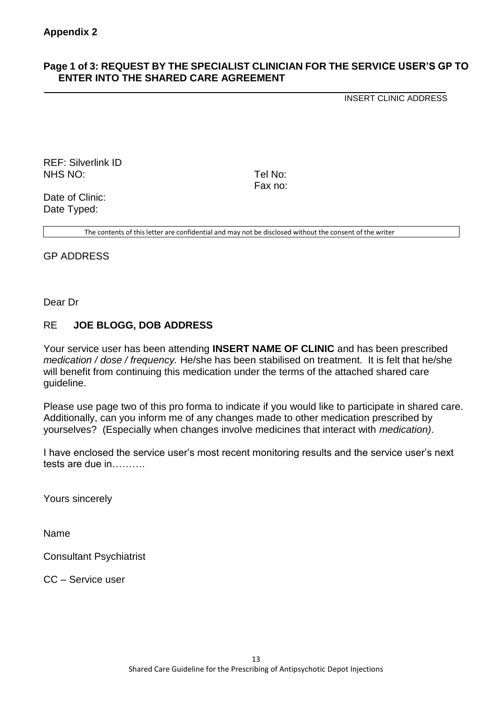### **Page 1 of 3: REQUEST BY THE SPECIALIST CLINICIAN FOR THE SERVICE USER'S GP TO ENTER INTO THE SHARED CARE AGREEMENT**

INSERT CLINIC ADDRESS

REF: Silverlink ID NHS NO: Tel No:

Fax no:

Date of Clinic: Date Typed:

The contents of this letter are confidential and may not be disclosed without the consent of the writer

GP ADDRESS

Dear Dr

### RE **JOE BLOGG, DOB ADDRESS**

Your service user has been attending **INSERT NAME OF CLINIC** and has been prescribed *medication / dose / frequency.* He/she has been stabilised on treatment. It is felt that he/she will benefit from continuing this medication under the terms of the attached shared care guideline.

Please use page two of this pro forma to indicate if you would like to participate in shared care. Additionally, can you inform me of any changes made to other medication prescribed by yourselves? (Especially when changes involve medicines that interact with *medication)*.

I have enclosed the service user's most recent monitoring results and the service user's next tests are due in……….

Yours sincerely

Name

Consultant Psychiatrist

CC – Service user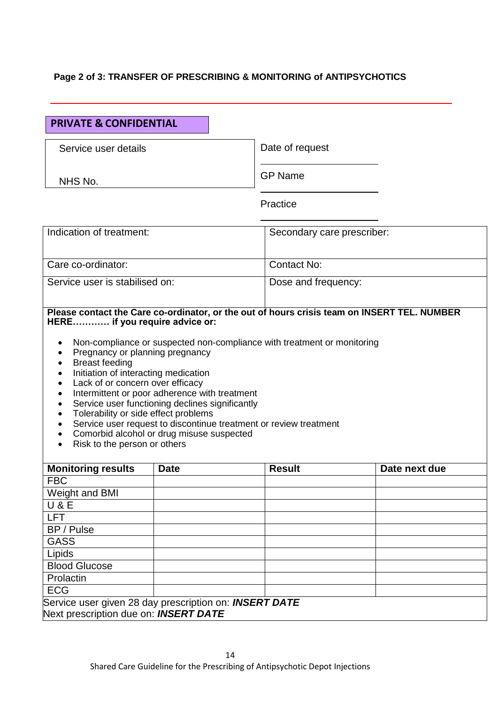### **Page 2 of 3: TRANSFER OF PRESCRIBING & MONITORING of ANTIPSYCHOTICS**

### **PRIVATE & CONFIDENTIAL**

Service user details

NHS No.

Date of request

GP Name

**Practice** 

| Indication of treatment:       | Secondary care prescriber: |
|--------------------------------|----------------------------|
| Care co-ordinator:             | Contact No:                |
| Service user is stabilised on: | Dose and frequency:        |

### **Please contact the Care co-ordinator, or the out of hours crisis team on INSERT TEL. NUMBER HERE………… if you require advice or:**

- Non-compliance or suspected non-compliance with treatment or monitoring
- Pregnancy or planning pregnancy
- Breast feeding
- Initiation of interacting medication
- Lack of or concern over efficacy
- Intermittent or poor adherence with treatment
- Service user functioning declines significantly
- Tolerability or side effect problems
- Service user request to discontinue treatment or review treatment
- Comorbid alcohol or drug misuse suspected
- Risk to the person or others

| <b>Monitoring results</b>                              | <b>Date</b> | <b>Result</b> | Date next due |  |
|--------------------------------------------------------|-------------|---------------|---------------|--|
| <b>FBC</b>                                             |             |               |               |  |
| Weight and BMI                                         |             |               |               |  |
| U & E                                                  |             |               |               |  |
| <b>LFT</b>                                             |             |               |               |  |
| BP / Pulse                                             |             |               |               |  |
| <b>GASS</b>                                            |             |               |               |  |
| Lipids                                                 |             |               |               |  |
| <b>Blood Glucose</b>                                   |             |               |               |  |
| Prolactin                                              |             |               |               |  |
| <b>ECG</b>                                             |             |               |               |  |
| Service user given 28 day prescription on: INSERT DATE |             |               |               |  |
| Next prescription due on: <b>INSERT DATE</b>           |             |               |               |  |

14 Shared Care Guideline for the Prescribing of Antipsychotic Depot Injections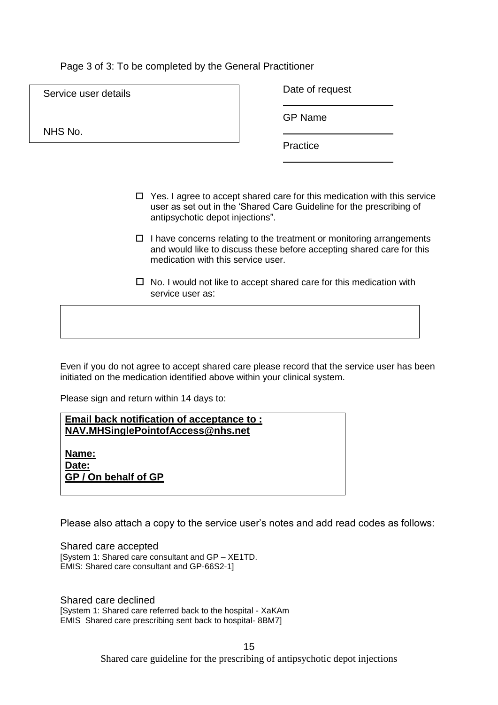### Page 3 of 3: To be completed by the General Practitioner

| Service user details | Date of request |
|----------------------|-----------------|
|                      | <b>GP Name</b>  |
| NHS No.              | Practice        |
|                      |                 |

- $\Box$  Yes. I agree to accept shared care for this medication with this service user as set out in the 'Shared Care Guideline for the prescribing of antipsychotic depot injections".
- $\Box$  I have concerns relating to the treatment or monitoring arrangements and would like to discuss these before accepting shared care for this medication with this service user.
- $\Box$  No. I would not like to accept shared care for this medication with service user as:

Even if you do not agree to accept shared care please record that the service user has been initiated on the medication identified above within your clinical system.

Please sign and return within 14 days to:

**Email back notification of acceptance to : NAV.MHSinglePointofAccess@nhs.net**

**Name: Date: GP / On behalf of GP**

Please also attach a copy to the service user's notes and add read codes as follows:

Shared care accepted [System 1: Shared care consultant and GP – XE1TD. EMIS: Shared care consultant and GP-66S2-1]

Shared care declined [System 1: Shared care referred back to the hospital - XaKAm EMIS Shared care prescribing sent back to hospital- 8BM7]

> 15 Shared care guideline for the prescribing of antipsychotic depot injections